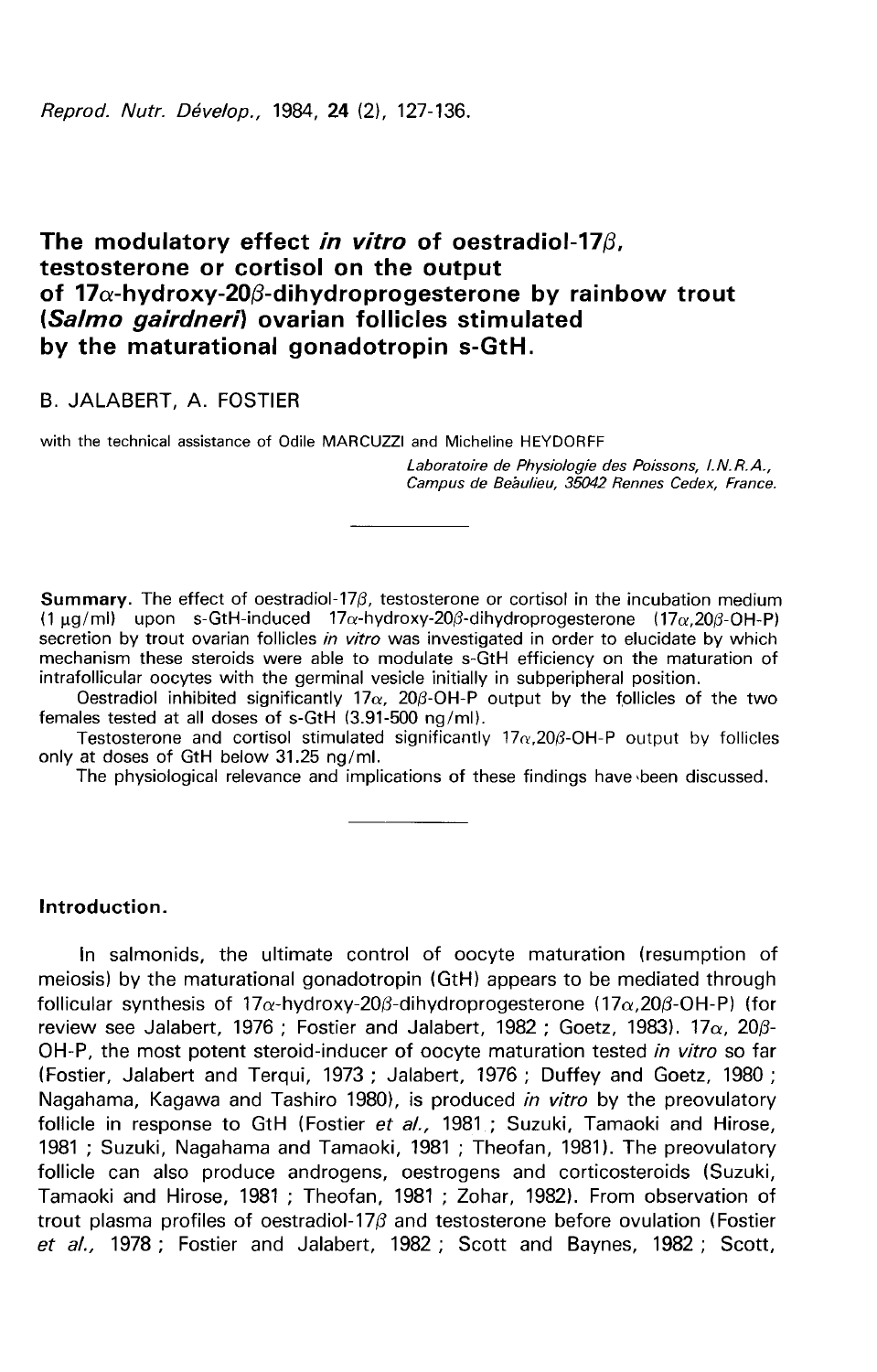Reprod. Nutr. Dévelop., 1984, 24 (2), 127-136.

# The modulatory effect in vitro of oestradiol-17β, testosterone or cortisol on the output of 17 $\alpha$ -hydroxy-20 $\beta$ -dihydroprogesterone by rainbow trout (Salmo gairdneri) ovarian follicles stimulated by the maturational gonadotropin s-GtH.

## B. JALABERT, A. FOSTIER

with the technical assistance of Odile MARCUZZI and Micheline HEYDORFF

Laboratoire de Physiologie des Poissons, I.N.R.A., Campus de Seàulieu, 35042 Rennes Cedex, France.

**Summary.** The effect of oestradiol-17 $\beta$ , testosterone or cortisol in the incubation medium  $(1 \mu g/ml)$  upon s-GtH-induced  $17\alpha$ -hydroxy-20 $\beta$ -dihydroprogesterone (17 $\alpha$ ,20 $\beta$ -OH-P) secretion by trout ovarian follicles in vitro was investigated in order to elucidate by which mechanism these steroids were able to modulate s-GtH efficiency on the maturation of intrafollicular oocytes with the germinal vesicle initially in subperipheral position.

Oestradiol inhibited significantly 17 $\alpha$ , 20 $\beta$ -OH-P output by the follicles of the two females tested at all doses of s-GtH (3.91-500 ng/ml).

Testosterone and cortisol stimulated significantly  $17\alpha$ ,  $20\beta$ -OH-P output by follicles only at doses of GtH below 31.25 ng/ml.

The physiological relevance and implications of these findings have,been discussed.

#### Introduction.

In salmonids, the ultimate control of oocyte maturation (resumption of meiosis) by the maturational gonadotropin (GtH) appears to be mediated through follicular synthesis of  $17\alpha$ -hydroxy-20 $\beta$ -dihydroprogesterone ( $17\alpha$ ,20 $\beta$ -OH-P) (for **Summary.** The effect of oestradiol-17 $\beta$ , testosterone or cortisol in the incubation medium<br>
(11g/ml) upon s-GtH-induced 17 $\alpha$ -hydroxy-20 $\beta$ -dihydroprogesterone (17 $\alpha$ ,20 $\beta$ -OH-P<br>
secretion by trout ovarian follicle review see Jalabert, 1976 ; Fostier and Jalabert, 1982 ; Goetz, 1983).  $17\alpha$ , 20 $\beta$ -OH-P, the most potent steroid-inducer of oocyte maturation tested in vitro so far (Fostier, Jalabert and Terqui, 1973 ; Jalabert, 1976 ; Duffey and Goetz, 1980 ; Nagahama, Kagawa and Tashiro 1980), is produced in vitro by the preovulatory follicle in response to GtH (Fostier et al., 1981; Suzuki, Tamaoki and Hirose, 1981 ; Suzuki, Nagahama and Tamaoki, 1981 ; Theofan, 1981). The preovulatory follicle can also produce androgens, oestrogens and corticosteroids (Suzuki, Tamaoki and Hirose, 1981 ; Theofan, 1981 ; Zohar, 1982). From observation of trout plasma profiles of oestradiol-17 $\beta$  and testosterone before ovulation (Fostier et al., 1978 ; Fostier and Jalabert, 1982 ; Scott and Baynes, 1982 ; Scott,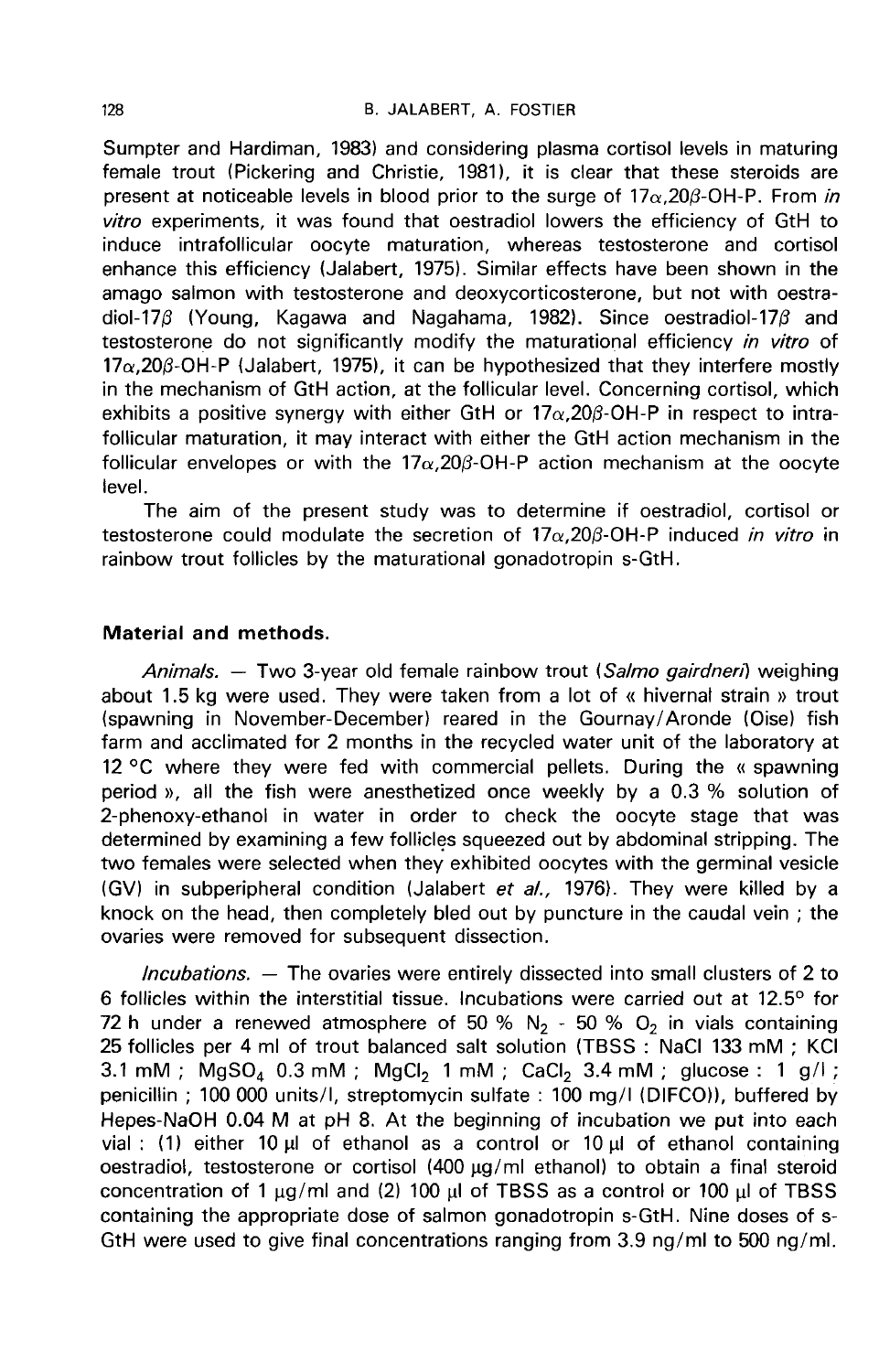Sumpter and Hardiman, 1983) and considering plasma cortisol levels in maturing female trout (Pickering and Christie, 1981), it is clear that these steroids are present at noticeable levels in blood prior to the surge of  $17\alpha,20\beta$ -OH-P. From in vitro experiments, it was found that oestradiol lowers the efficiency of GtH to induce intrafollicular oocyte maturation, whereas testosterone and cortisol enhance this efficiency (Jalabert, 1975). Similar effects have been shown in the amago salmon with testosterone and deoxycorticosterone, but not with oestradiol-17 $\beta$  (Young, Kagawa and Nagahama, 1982). Since oestradiol-17 $\beta$  and testosterone do not significantly modify the maturational efficiency in vitro of  $17\alpha$ , 20 $\beta$ -OH-P (Jalabert, 1975), it can be hypothesized that they interfere mostly in the mechanism of GtH action, at the follicular level. Concerning cortisol, which exhibits a positive synergy with either GtH or  $17\alpha,20\beta$ -OH-P in respect to intrafollicular maturation, it may interact with either the GtH action mechanism in the follicular envelopes or with the  $17\alpha$ ,  $20\beta$ -OH-P action mechanism at the oocyte level .

The aim of the present study was to determine if oestradiol, cortisol or testosterone could modulate the secretion of  $17\alpha$ ,  $20\beta$ -OH-P induced in vitro in rainbow trout follicles by the maturational gonadotropin s-GtH.

## Material and methods.

Animals. — Two 3-year old female rainbow trout (Salmo gairdneri) weighing about 1.5 kg were used. They were taken from a lot of « hivernal strain » trout (spawning in November-December) reared in the Gournay/Aronde (Oise) fish farm and acclimated for 2 months in the recycled water unit of the laboratory at 12  $\degree$ C where they were fed with commercial pellets. During the « spawning period », all the fish were anesthetized once weekly by a 0.3 % solution of 2-phenoxy-ethanoi in water in order to check the oocyte stage that was determined by examining a few follicles squeezed out by abdominal stripping. The two females were selected when they exhibited oocytes with the germinal vesicle (GV) in subperipheral condition (Jalabert et al., 1976). They were killed by a knock on the head, then completely bled out by puncture in the caudal vein ; the ovaries were removed for subsequent dissection.

 $Incubations. -$  The ovaries were entirely dissected into small clusters of 2 to 6 follicles within the interstitial tissue. Incubations were carried out at 12.5° for 72 h under a renewed atmosphere of 50 %  $N_2$  - 50 %  $O_2$  in vials containing 25 follicles per 4 ml of trout balanced salt solution (TBSS : NaCl 133 mM ; KCI  $3.1 \text{ mM}$ ;  $MgSO_4$  0.3 mM;  $MgCl_2$  1 mM; CaCl<sub>2</sub> 3.4 mM; glucose : 1 g/l; penicillin ; 100 000 units/I, streptomycin sulfate : 100 mg/I (DIFCO)), buffered by Hepes-NaOH 0.04 M at pH 8. At the beginning of incubation we put into each vial : (1) either 10  $\mu$  of ethanol as a control or 10  $\mu$  of ethanol containing oestradiol, testosterone or cortisol  $(400 \mu g/ml$  ethanol) to obtain a final steroid concentration of 1  $\mu$ g/ml and (2) 100  $\mu$ l of TBSS as a control or 100  $\mu$ l of TBSS containing the appropriate dose of salmon gonadotropin s-GtH. Nine doses of s-GtH were used to give final concentrations ranging from 3.9 ng/ml to 500 ng/ml.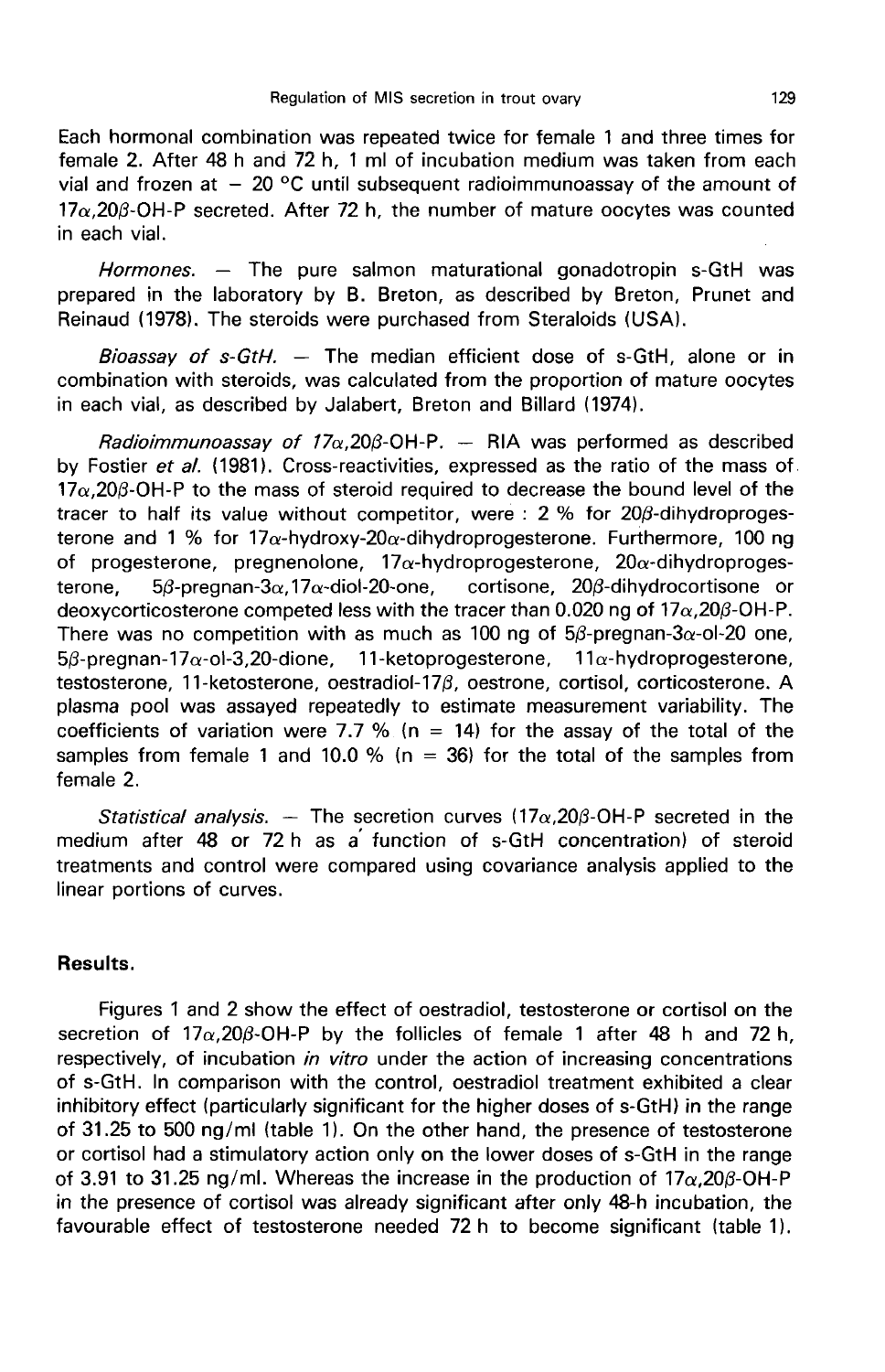Each hormonal combination was repeated twice for female 1 and three times for female 2. After 48 h and 72 h, 1 ml of incubation medium was taken from each vial and frozen at  $-20$  °C until subsequent radioimmunoassay of the amount of  $17\alpha$ , 20 $\beta$ -OH-P secreted. After 72 h, the number of mature oocytes was counted in each vial.

Hormones. — The pure salmon maturational gonadotropin s-GtH was prepared in the laboratory by B. Breton, as described by Breton, Prunet and Reinaud (1978). The steroids were purchased from Steraloids (USA).

Bioassay of s-GtH.  $-$  The median efficient dose of s-GtH, alone or in combination with steroids, was calculated from the proportion of mature oocytes in each vial, as described by Jalabert, Breton and Billard (1974).

Radioimmunoassay of  $17\alpha$ , 20 $\beta$ -OH-P. - RIA was performed as described by Fostier et al. (1981). Cross-reactivities, expressed as the ratio of the mass of  $17\alpha$ , 20 $\beta$ -OH-P to the mass of steroid required to decrease the bound level of the tracer to half its value without competitor, were  $: 2 \%$  for 20 $\beta$ -dihydroprogesterone and 1 % for  $17\alpha$ -hydroxy-20 $\alpha$ -dihydroprogesterone. Furthermore, 100 ng of progesterone, pregnenolone,  $17\alpha$ -hydroprogesterone,  $20\alpha$ -dihydroproges-<br>terone,  $5\beta$ -pregnan-3 $\alpha$ ,17 $\alpha$ -diol-20-one, cortisone,  $20\beta$ -dihydrocortisone or terone,  $5\beta$ -pregnan-3 $\alpha$ , 17 $\alpha$ -diol-20-one, cortisone, 20 $\beta$ -dihydrocortisone or deoxycorticosterone competed less with the tracer than 0.020 ng of  $17\alpha$ ,  $20\beta$ -OH-P. There was no competition with as much as 100 ng of  $5\beta$ -pregnan- $3\alpha$ -ol-20 one,  $5\beta$ -pregnan- $17\alpha$ -ol-3.20-dione. 11-ketoprogesterone. 11 $\alpha$ -hydroprogesterone.  $5\beta$ -pregnan-17 $\alpha$ -ol-3,20-dione, 11-ketoprogesterone, testosterone, 11-ketosterone, oestradiol-170, oestrone, cortisol, corticosterone. A plasma pool was assayed repeatedly to estimate measurement variability. The coefficients of variation were 7.7 % ( $n = 14$ ) for the assay of the total of the samples from female 1 and 10.0 % ( $n = 36$ ) for the total of the samples from female 2.

Statistical analysis. — The secretion curves  $(17\alpha, 20\beta$ -OH-P secreted in the medium after 48 or 72 h as a function of s-GtH concentration) of steroid treatments and control were compared using covariance analysis applied to the linear portions of curves.

## Results.

Figures 1 and 2 show the effect of oestradiol, testosterone or cortisol on the secretion of  $17\alpha$ ,  $20\beta$ -OH-P by the follicles of female 1 after 48 h and 72 h, respectively, of incubation in vitro under the action of increasing concentrations of s-GtH. In comparison with the control, oestradiol treatment exhibited a clear inhibitory effect (particularly significant for the higher doses of s-GtH) in the range of 31.25 to 500 ng/ml (table 1). On the other hand, the presence of testosterone or cortisol had a stimulatory action only on the lower doses of s-GtH in the range of 3.91 to 31.25 ng/ml. Whereas the increase in the production of  $17\alpha,20\beta$ -OH-P secretion of  $17\alpha$ ,20 $\beta$ -OH-P by the follicles of female 1 after 48 h and 72 h respectively, of incubation *in vitro* under the action of increasing concentrations of s-GtH. In comparison with the control, oestradiol tr in the presence of cortisol was already significant after only 48-h incubation, the favourable effect of testosterone needed 72 h to become significant (table 1).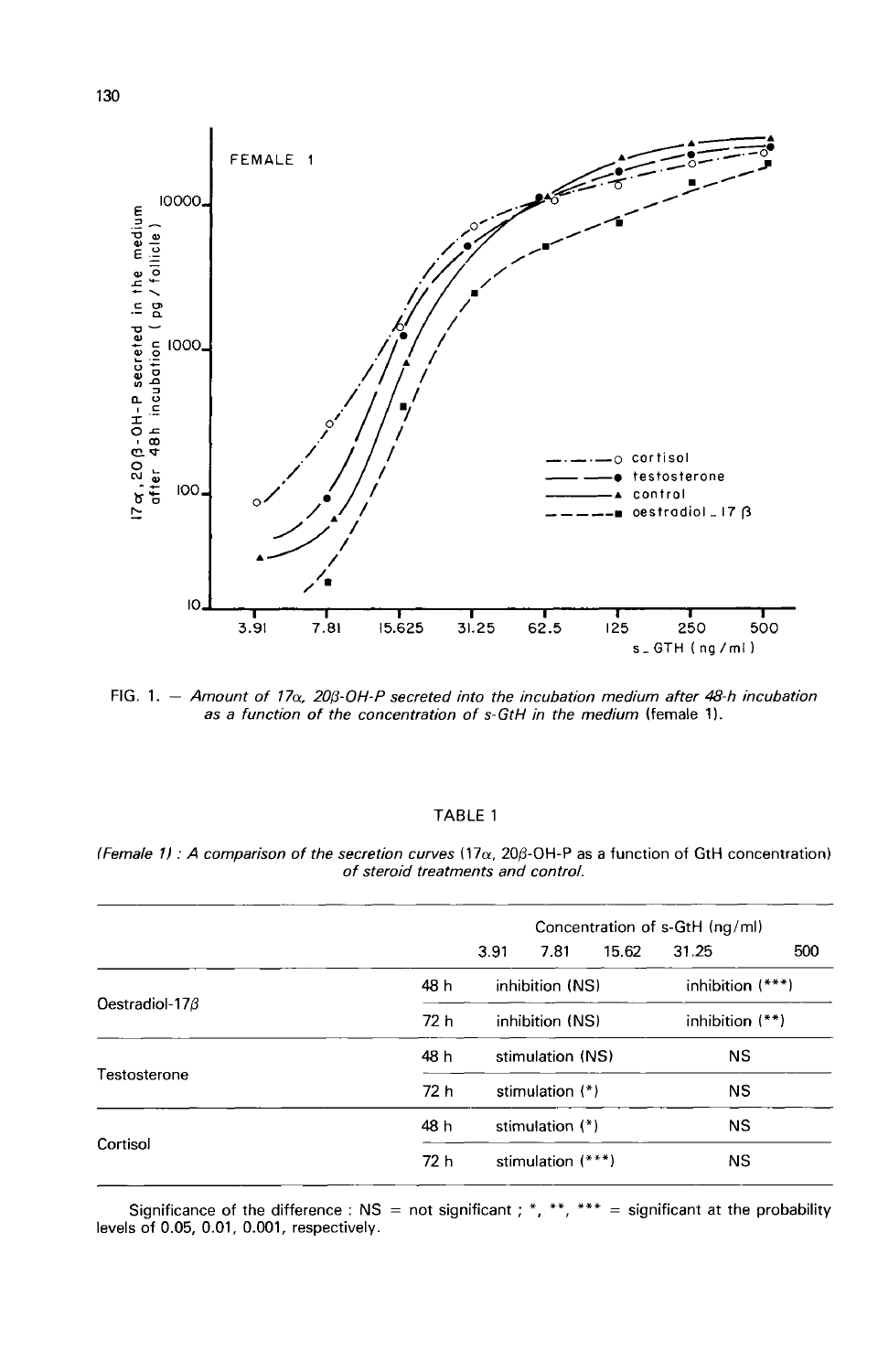

FIG. 1. - Amount of 17 $\alpha$ , 20 $\beta$ -OH-P secreted into the incubation medium after 48-h incubation as a function of the concentration of s-GtH in the medium (female 1).

| Ł<br>חו<br>- |  |
|--------------|--|
|--------------|--|

|                       | Concentration of s-GtH (ng/ml) |                   |                  |       |                    |     |  |  |
|-----------------------|--------------------------------|-------------------|------------------|-------|--------------------|-----|--|--|
|                       |                                | 3.91              | 7.81             | 15.62 | 31.25              | 500 |  |  |
|                       | 48 h                           | inhibition (NS)   |                  |       | inhibition $(***)$ |     |  |  |
| Oestradiol-17 $\beta$ | 72 h                           |                   | inhibition (NS)  |       | inhibition $(**)$  |     |  |  |
| Testosterone          | 48 h                           |                   | stimulation (NS) |       | NS                 |     |  |  |
|                       | 72 h                           | stimulation $(*)$ |                  |       | NS.                |     |  |  |
| Cortisol              | 48 h                           | stimulation $(*)$ |                  |       | <b>NS</b>          |     |  |  |
|                       | 72 h                           | stimulation (***) |                  |       | <b>NS</b>          |     |  |  |

(Female 1) : A comparison of the secretion curves  $(17\alpha, 20\beta$ -OH-P as a function of GtH concentration) of steroid treatments and control.

Significance of the difference : NS = not significant ; \*, \*\*, \*\*\* = significant at the probability levels of 0.05, 0.01, 0.001, respectively.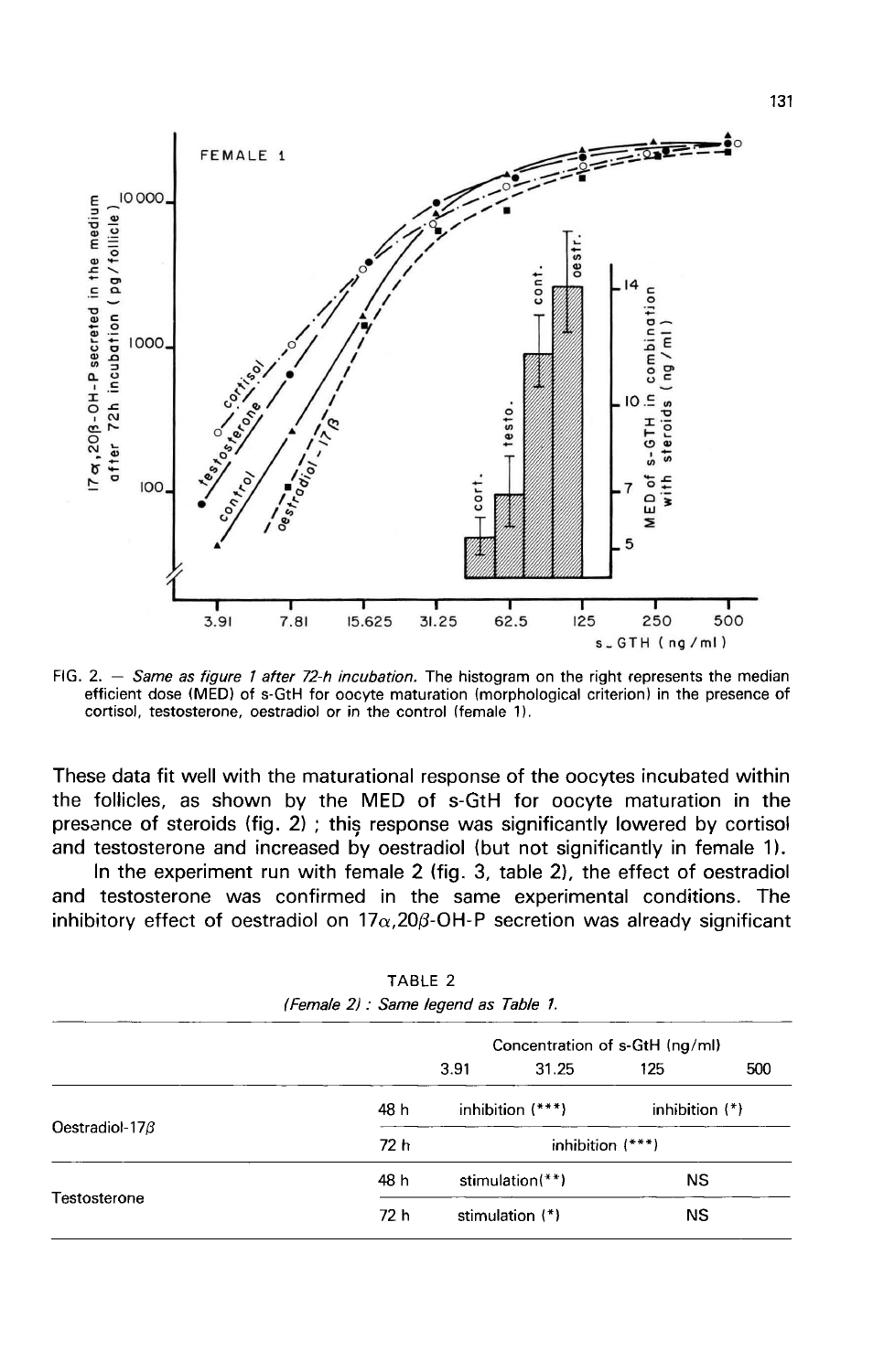

FIG. 2.  $-$  Same as figure 1 after 72-h incubation. The histogram on the right represents the median efficient dose (MED) of s-GtH for oocyte maturation (morphological criterion) in the presence of cortisol, testosterone, oestradiol or in the control (female 1).

These data fit well with the maturational response of the oocytes incubated within the follicles, as shown by the MED of s-GtH for oocyte maturation in the presence of steroids (fig. 2) ; this response was significantly lowered by cortisol and testosterone and increased by oestradiol (but not significantly in female 11.

In the experiment run with female 2 (fig. 3, table 2), the effect of oestradiol and testosterone was confirmed in the same experimental conditions. The inhibitory effect of oestradiol on  $17\alpha$ ,  $20\beta$ -OH-P secretion was already significant

|                       |      | Concentration of s-GtH (ng/ml) |       |                  |     |  |  |  |
|-----------------------|------|--------------------------------|-------|------------------|-----|--|--|--|
|                       |      | 3.91                           | 31.25 | 125              | 500 |  |  |  |
| Oestradiol-17 $\beta$ | 48 h | inhibition $(***)$             |       | inhibition $(*)$ |     |  |  |  |
|                       | 72 h | inhibition $(***)$             |       |                  |     |  |  |  |
| Testosterone          | 48 h | stimulation(**)                |       | ΝS               |     |  |  |  |
|                       | 72 h | stimulation (*)                |       | <b>NS</b>        |     |  |  |  |

TABLE 2 (Female 2) : Same legend as Table 1.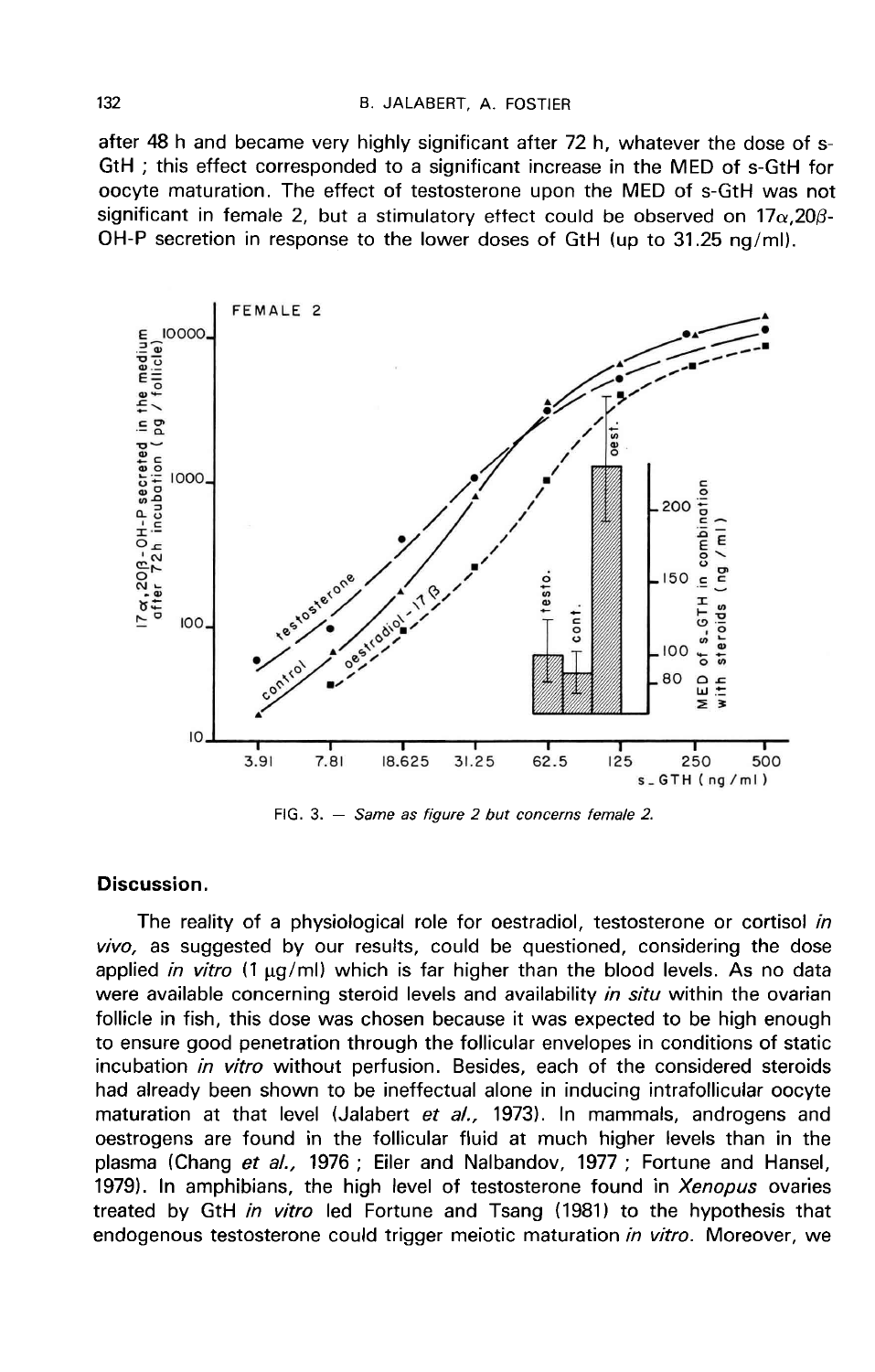#### B. JALABERT, A. FOSTIER

after 48 h and became very highly significant after 72 h, whatever the dose of s-GtH ; this effect corresponded to a significant increase in the MED of s-GtH for oocyte maturation. The effect of testosterone upon the MED of s-GtH was not significant in female 2, but a stimulatory effect could be observed on  $17\alpha$ , 20 $\beta$ -OH-P secretion in response to the lower doses of GtH (up to 31.25 ng/ml).



FIG. 3.  $-$  Same as figure 2 but concerns female 2.

#### Discussion.

The reality of a physiological role for oestradiol, testosterone or cortisol in vivo, as suggested by our results, could be questioned, considering the dose applied in vitro (1  $\mu$ g/ml) which is far higher than the blood levels. As no data were available concerning steroid levels and availability in situ within the ovarian follicle in fish, this dose was chosen because it was expected to be high enough to ensure good penetration through the follicular envelopes in conditions of static incubation in vitro without perfusion. Besides, each of the considered steroids had already been shown to be ineffectual alone in inducing intrafollicular oocyte maturation at that level (Jalabert et al., 1973). In mammals, androgens and oestrogens are found in the follicular fluid at much higher levels than in the plasma (Chang et al., 1976 ; Eiler and Nalbandov, 1977 ; Fortune and Hansel, 1979). In amphibians, the high level of testosterone found in Xenopus ovaries treated by GtH in vitro led Fortune and Tsang (1981) to the hypothesis that endogenous testosterone could trigger meiotic maturation in vitro. Moreover, we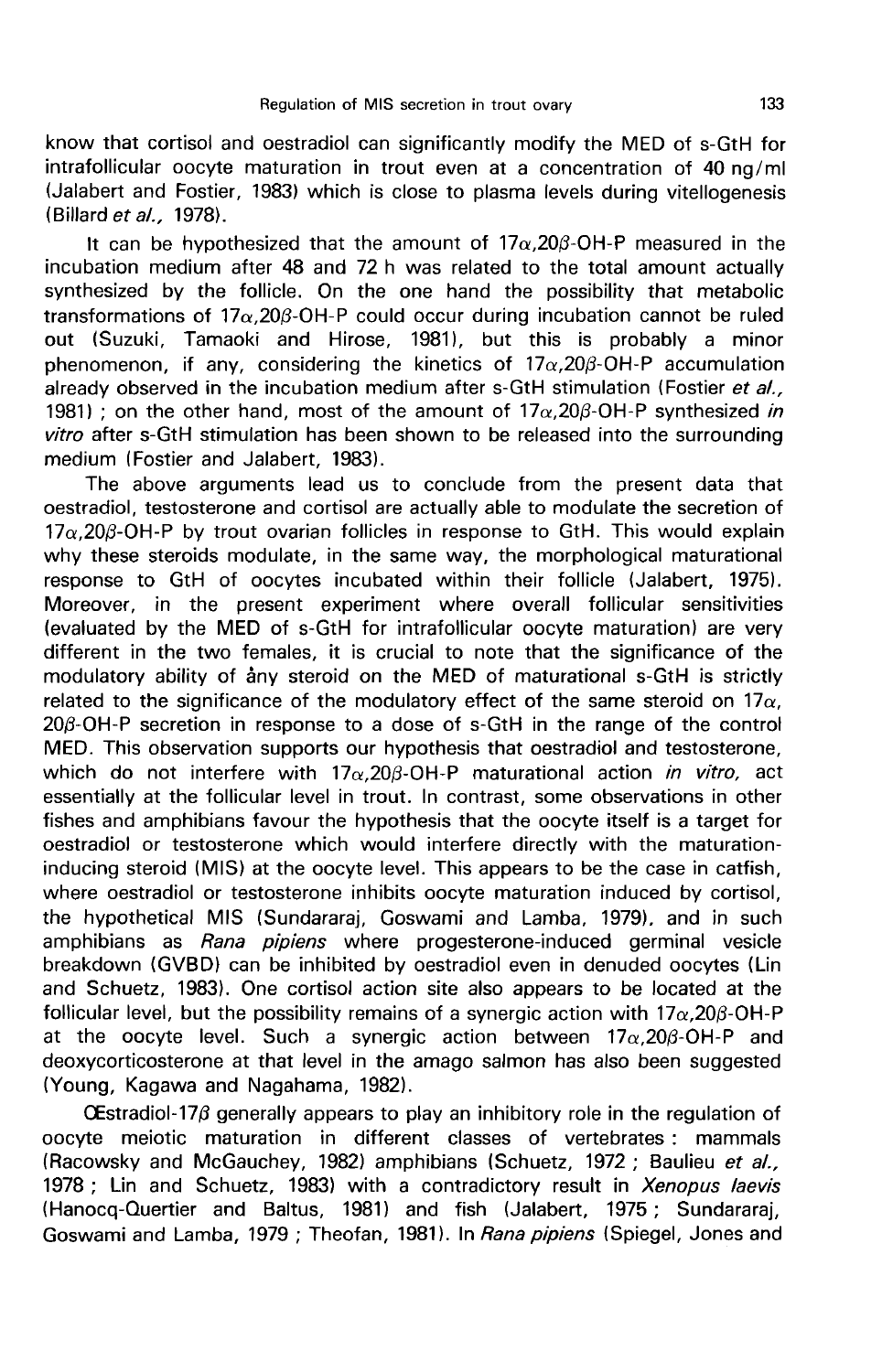know that cortisol and oestradiol can significantly modify the MED of s-GtH for intrafollicular oocyte maturation in trout even at a concentration of 40 ng/ml (Jalabert and Fostier, 1983) which is close to plasma levels during vitellogenesis  $(Billard et al., 1978).$ 

It can be hypothesized that the amount of  $17\alpha,20\beta$ -OH-P measured in the incubation medium after 48 and 72 h was related to the total amount actually synthesized by the follicle. On the one hand the possibility that metabolic transformations of  $17\alpha$ , 20 $\beta$ -OH-P could occur during incubation cannot be ruled out (Suzuki, Tamaoki and Hirose, 1981), but this is probably a minor phenomenon, if any, considering the kinetics of  $17\alpha$ ,  $20\beta$ -OH-P accumulation already observed in the incubation medium after s-GtH stimulation (Fostier et al., 1981); on the other hand, most of the amount of  $17\alpha$ ,  $20\beta$ -OH-P synthesized in incubation medium after 48 and 72 h was related to the total amount actually<br>synthesized by the follicle. On the one hand the possibility that metabolic<br>transformations of  $17\alpha,20\beta$ -OH-P could occur during incubation ca vitro after s-GtH stimulation has been shown to be released into the surrounding medium (Fostier and Jalabert, 1983).

The above arguments lead us to conclude from the present data that oestradiol, testosterone and cortisol are actually able to modulate the secretion of  $17\alpha$ , 20 $\beta$ -OH-P by trout ovarian follicles in response to GtH. This would explain why these steroids modulate, in the same way, the morphological maturational response to GtH of oocytes incubated within their follicle (Jalabert, 1975). Moreover, in the present experiment where overall follicular sensitivities (evaluated by the MED of s-GtH for intrafollicular oocyte maturation) are very different in the two females, it is crucial to note that the significance of the modulatory ability of <mark>å</mark>ny steroid on the MED of maturational s-GtH is strictly related to the significance of the modulatory effect of the same steroid on  $17\alpha$ ,  $20\beta$ -OH-P secretion in response to a dose of s-GtH in the range of the control (evaluated by the MED of s-GtH for intrafollicular oocyte maturation) are very different in the two females, it is crucial to note that the significance of the modulatory ability of any steroid on the MED of maturational MED. This observation supports our hypothesis that oestradiol and testosterone, which do not interfere with  $17\alpha,20\beta$ -OH-P maturational action in vitro, act essentially at the follicular level in trout. In contrast, some observations in other fishes and amphibians favour the hypothesis that the oocyte itself is a target for oestradiol or testosterone which would interfere directly with the maturationinducing steroid (MIS) at the oocyte level. This appears to be the case in catfish, where oestradiol or testosterone inhibits oocyte maturation induced by cortisol, the hypothetical MIS (Sundararaj, Goswami and Lamba, 1979), and in such amphibians as Rana pipiens where progesterone-induced germinal vesicle breakdown (GVBD) can be inhibited by oestradiol even in denuded oocytes (Lin and Schuetz, 1983). One cortisol action site also appears to be located at the follicular level, but the possibility remains of a synergic action with  $17\alpha$ ,  $20\beta$ -OH-P amphibitians as *Hana pipiens* where progesterone-induced germinal vesicle<br>breakdown (GVBD) can be inhibited by oestradiol even in denuded oocytes (Lin<br>and Schuetz, 1983). One cortisol action site also appears to be locat at the oocyte level. Such a synergic action between  $17\alpha,20\beta$ -OH-P and deoxycorticosterone at that level in the amago salmon has also been suggested (Young, Kagawa and Nagahama, 1982).

OEstradiol-17 $\beta$  generally appears to play an inhibitory role in the regulation of oocyte meiotic maturation in different classes of vertebrates : mammals (Racowsky and McGauchey, 1982) amphibians (Schuetz, 1972; Baulieu et al., 1978 : Lin and Schuetz, 1983) with a contradictory result in Xenopus laevis (Hanocq-Quertier and Baltus, 1981) and fish (Jalabert, 1975 ; Sundararaj, Goswami and Lamba, 1979 ; Theofan, 1981). In Rana pipiens (Spiegel, Jones and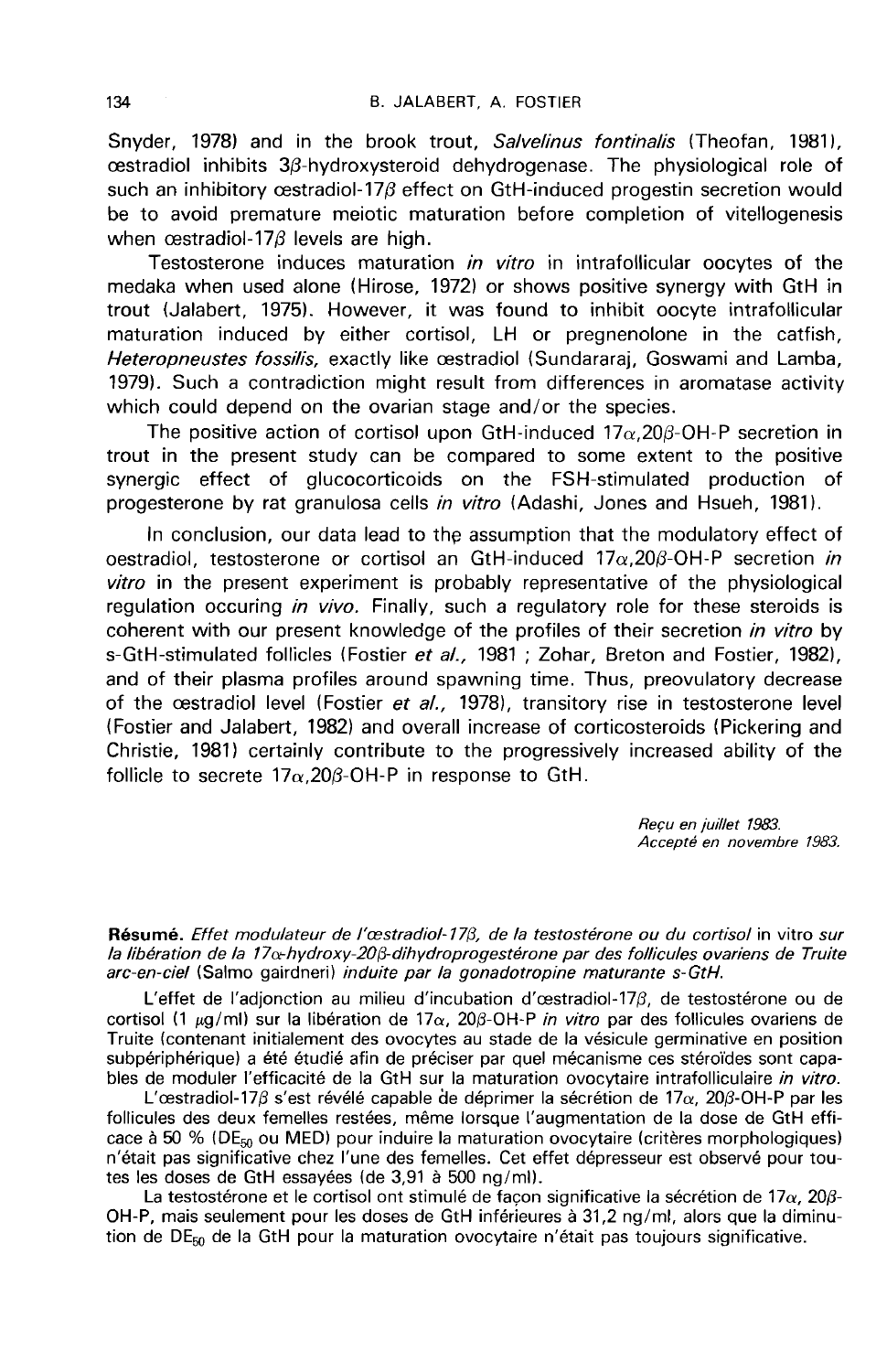Snyder, 1978) and in the brook trout, Salvelinus fontinalis (Theofan, 1981), oestradiol inhibits 30-hydroxysteroid dehydrogenase. The physiological role of such an inhibitory cestradiol-17 $\beta$  effect on GtH-induced progestin secretion would be to avoid premature meiotic maturation before completion of vitellogenesis when  $c$ estradiol-17 $\beta$  levels are high.

Testosterone induces maturation in vitro in intrafollicular oocytes of the medaka when used alone (Hirose, 1972) or shows positive synergy with GtH in trout (Jalabert, 1975). However, it was found to inhibit oocyte intrafollicular maturation induced by either cortisol, LH or pregnenolone in the catfish, Heteropneustes fossilis, exactly like cestradiol (Sundararaj, Goswami and Lamba, 1979). Such a contradiction might result from differences in aromatase activity which could depend on the ovarian stage and/or the species.

The positive action of cortisol upon GtH-induced  $17\alpha$ , 20 $\beta$ -OH-P secretion in trout in the present study can be compared to some extent to the positive synergic effect of glucocorticoids on the FSH-stimulated production of progesterone by rat granulosa cells in vitro (Adashi, Jones and Hsueh, 1981).

In conclusion, our data lead to the assumption that the modulatory effect of oestradiol, testosterone or cortisol an GtH-induced  $17\alpha,20\beta$ -OH-P secretion in vitro in the present experiment is probably representative of the physiological regulation occuring *in vivo.* Finally, such a regulatory role for these steroids is coherent with our present knowledge of the profiles of their secretion in vitro by s-GtH-stimulated follicles (Fostier et al., 1981 ; Zohar, Breton and Fostier, 1982), and of their plasma profiles around spawning time. Thus, preovulatory decrease of the cestradiol level (Fostier et al., 1978), transitory rise in testosterone level (Fostier and Jalabert, 1982) and overall increase of corticosteroids (Pickering and Christie, 1981) certainly contribute to the progressively increased ability of the follicle to secrete  $17\alpha$ , 20 $\beta$ -OH-P in response to GtH. bestudion, testosteine or cotinsor and an entimation of the physiological<br>
witro in the present experiment is probably representative of the physiological<br>
regulation occuring *in vivo*. Finally, such a regulatory role fo

Recu en juillet 1983. Accepté en novembre 1983.

Résumé. Effet modulateur de l'œstradiol-17 $\beta$ , de la testostérone ou du cortisol in vitro sur<br>la libération de la 17c-hydroxy-20 $\beta$ -dihydroprogestérone par des follicules ovariens de Truite arc-en-ciel (Salmo gairdneri) induite par la gonadotropine maturante s-GtH.

L'effet de l'adjonction au milieu d'incubation d'œstradiol-17 $\beta$ , de testostérone ou de cortisol (1  $\mu$ g/ml) sur la libération de 17 $\alpha$ , 20 $\beta$ -OH-P in vitro par des follicules ovariens de Truite (contenant initialement des ovocytes au stade de la vésicule germinative en position subpériphérique) a été étudié afin de préciser par quel mécanisme ces stéroïdes sont capables de moduler l'efficacité de la GtH sur la maturation ovocytaire intrafolliculaire in vitro.

L'oestradiol-17 $\beta$  s'est révélé capable de déprimer la sécrétion de 17 $\alpha$ , 20 $\beta$ -OH-P par les follicules des deux femelles restées, même lorsque l'augmentation de la dose de GtH efficace à 50 % (DE $_{50}$  ou MED) pour induire la maturation ovocytaire (critères morphologiques) n'était pas significative chez l'une des femelles. Cet effet dépresseur est observé pour toutes les doses de GtH essayées (de 3,91 à 500 ng/ml).

La testostérone et le cortisol ont stimulé de façon significative la sécrétion de 17 $\alpha$ , 20 $\beta$ -OH-P, mais seulement pour les doses de GtH inférieures à 31,2 ng/ml, alors que la diminution de  $DE_{50}$  de la GtH pour la maturation ovocytaire n'était pas toujours significative.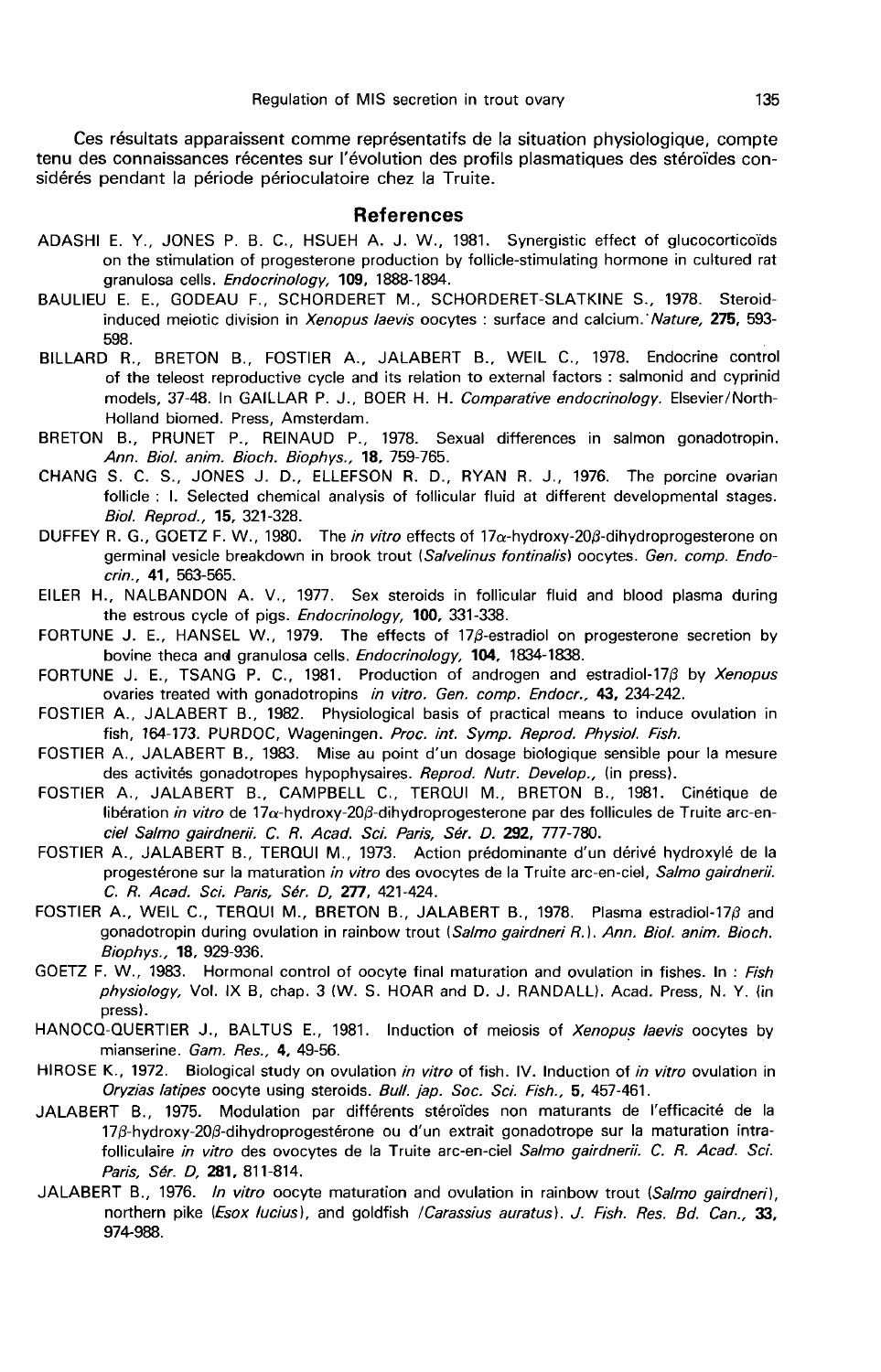Ces résultats apparaissent comme représentatifs de la situation physiologique, compte tenu des connaissances récentes sur l'évolution des profils plasmatiques des stéroïdes considérés pendant la période périoculatoire chez la Truite.

#### References

- ADASHI E. Y., JONES P. B. C., HSUEH A. J. W., 1981. Synergistic effect of glucocorticofds on the stimulation of progesterone production by follicle-stimulating hormone in cultured rat granulosa cells. Endocrinology, 109, 1888-1894.
- BAULIEU E. E., GODEAU F., SCHORDERET M., SCHORDERET-SLATKINE S., 1978. Steroidinduced meiotic division in *Xenopus laevis* oocytes : surface and calcium. *Nature*, 275, 593-<br>598.
- 598. , BILLARD R., BRETON B., FOSTIER A., JALABERT B., WEIL C., 1978. Endocrine control of the teleost reproductive cycle and its relation to external factors : salmonid and cyprinid models, 37-48. In GAILLAR P. J., BOER H. H. Comparative endocrinology. Elsevier/North-Holland biomed. Press, Amsterdam.
- BRETON B., PRUNET P., REINAUD P., 1978. Sexual differences in salmon gonadotropin. Ann. Biol. anim. Bioch. Biophys., 18, 759-765.
- CHANG S. C. S., JONES J. D., ELLEFSON R. D., RYAN R. J., 1976. The porcine ovarian follicle : I. Selected chemical analysis of follicular fluid at different developmental stages. Biol. Reprod., 15, 321-328.
- DUFFEY R. G., GOETZ F. W., 1980. The in vitro effects of  $17\alpha$ -hydroxy-20 $\beta$ -dihydroprogesterone on germinal vesicle breakdown in brook trout (Salvelinus fontinalis) oocytes. Gen. comp. Endocrin., 41, 563-565.
- EILER H., NALBANDON A. V., 1977. Sex steroids in follicular fluid and blood plasma during the estrous cycle of pigs. Endocrinology, 100, 331-338. FORTUNE J. E., TSANG P. C., 1981. Production of androgen and estradiol-17 $\beta$  by Xenopus<br>FORTUNE J. E., TSANG P. C., 1979. The effects of 17 $\beta$ -estradiol on progesterone secretion by<br>bovine theca and granulosa cells. *En*
- FORTUNE J. E., HANSEL W., 1979. The effects of 17 $\beta$ -estradiol on progesterone secretion by bovine theca and granulosa cells. *Endocrinology*, **104**, 1834-1838.<br>FORTUNE J. E., TSANG P. C., 1981. Production of androgen and estradiol-17 $\beta$  by *Xenopus*
- ovaries treated with gonadotropins in vitro. Gen. comp. Endocr., 43, 234-242.
- FOSTIER A., JALABERT B., 1982. Physiological basis of practical means to induce ovulation in fish, 164-173. PURDOC, Wageningen. Proc. int. Symp. Reprod. Physiol. Fish.
- FOSTIER A., JALABERT B., 1983. Mise au point d'un dosage biologique sensible pour la mesure<br>des activités gonadotropes hypophysaires. *Reprod. Nutr. Develop.*, (in press).
- FOSTIER A., JALABERT B., CAMPBELL C., TERQUI M., BRETON B., 1981. Cinétique de libération in vitro de 17α-hydroxy-20β-dihydroprogesterone par des follicules de Truite arc-enciel Salmo gairdnerii. C. R. Acad. Sci. Paris, Sér. D. 292, 777-780.
- FOSTIER A., JALABERT B., TERQUI M., 1973. Action prédominante d'un dérivé hydroxylé de la progestérone sur la maturation in vitro des ovocytes de la Truite arc-en-ciel, Salmo gairdnerii. C. R. Acad. Sci. Paris, Sér. D, 277, 421-424.
- FOSTIER A., WEIL C., TERQUI M., BRETON B., JALABERT B., 1978. Plasma estradiol-17 $\beta$  and gonadotropin during ovulation in rainbow trout (Salmo gairdneri R.). Ann. Biol. anim. Bioch. Biophys., 18, 929-936.
- GOETZ F. W., 1983. Hormonal control of oocyte final maturation and ovulation in fishes. In : Fish physiology, Vol. IX B, chap. 3 (W. S. HOAR and D. J. RANDALL). Acad. Press, N. Y. (in press).
- HANOCQ-QUERTIER J., BALTUS E., 1981. Induction of meiosis of Xenopus laevis oocytes by mianserine. Gam. Res., 4, 49-56.
- HIROSE K., 1972. Biological study on ovulation in vitro of fish. IV. Induction of in vitro ovulation in Oryzias latipes oocyte using steroids. Bull. jap. Soc. Sci. Fish., 5, 457-461.
- JALABERT B., 1975. Modulation par différents stéroïdes non maturants de l'efficacité de la 17 $\beta$ -hydroxy-20 $\beta$ -dihydroprogestérone ou d'un extrait gonadotrope sur la maturation intrafolliculaire in vitro des ovocytes de la Truite arc-en-ciel Salmo gairdnerii. C. R. Acad. Sci. Paris, Sér. D, 281, 811-814.
- JALABERT B., 1976. In vitro oocyte maturation and ovulation in rainbow trout (Salmo gairdneri), northern pike (Esox lucius), and goldfish /Carassius auratus). J. Fish. Res. Bd. Can., 33, 974-988.